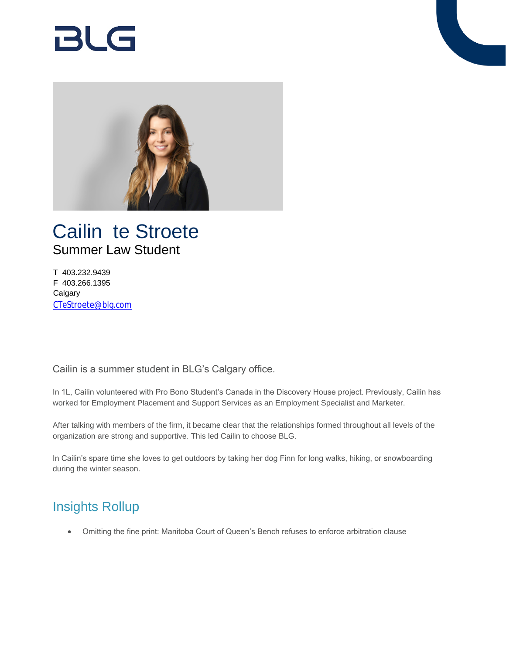# BlG



## Cailin te Stroete Summer Law Student

T 403.232.9439 F 403.266.1395 **Calgary** [CTeStroete@blg.com](mailto:CTeStroete@blg.com)

Cailin is a summer student in BLG's Calgary office.

In 1L, Cailin volunteered with Pro Bono Student's Canada in the Discovery House project. Previously, Cailin has worked for Employment Placement and Support Services as an Employment Specialist and Marketer.

After talking with members of the firm, it became clear that the relationships formed throughout all levels of the organization are strong and supportive. This led Cailin to choose BLG.

In Cailin's spare time she loves to get outdoors by taking her dog Finn for long walks, hiking, or snowboarding during the winter season.

## Insights Rollup

Omitting the fine print: Manitoba Court of Queen's Bench refuses to enforce arbitration clause